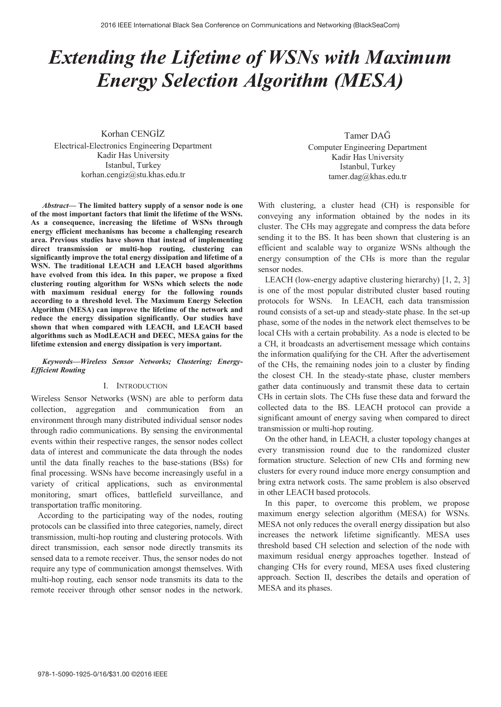# *Extending the Lifetime of WSNs with Maximum Energy Selection Algorithm (MESA)*

Korhan CENGİZ Electrical-Electronics Engineering Department Kadir Has University Istanbul, Turkey korhan.cengiz@stu.khas.edu.tr

*Abstract***— The limited battery supply of a sensor node is one of the most important factors that limit the lifetime of the WSNs. As a consequence, increasing the lifetime of WSNs through energy efficient mechanisms has become a challenging research area. Previous studies have shown that instead of implementing direct transmission or multi-hop routing, clustering can significantly improve the total energy dissipation and lifetime of a WSN. The traditional LEACH and LEACH based algorithms have evolved from this idea. In this paper, we propose a fixed clustering routing algorithm for WSNs which selects the node with maximum residual energy for the following rounds according to a threshold level. The Maximum Energy Selection Algorithm (MESA) can improve the lifetime of the network and reduce the energy dissipation significantly. Our studies have shown that when compared with LEACH, and LEACH based algorithms such as ModLEACH and DEEC, MESA gains for the lifetime extension and energy dissipation is very important.** 

# *Keywords—Wireless Sensor Networks; Clustering; Energy-Efficient Routing*

# I. INTRODUCTION

Wireless Sensor Networks (WSN) are able to perform data collection, aggregation and communication from an environment through many distributed individual sensor nodes through radio communications. By sensing the environmental events within their respective ranges, the sensor nodes collect data of interest and communicate the data through the nodes until the data finally reaches to the base-stations (BSs) for final processing. WSNs have become increasingly useful in a variety of critical applications, such as environmental monitoring, smart offices, battlefield surveillance, and transportation traffic monitoring.

According to the participating way of the nodes, routing protocols can be classified into three categories, namely, direct transmission, multi-hop routing and clustering protocols. With direct transmission, each sensor node directly transmits its sensed data to a remote receiver. Thus, the sensor nodes do not require any type of communication amongst themselves. With multi-hop routing, each sensor node transmits its data to the remote receiver through other sensor nodes in the network.

Tamer DAĞ Computer Engineering Department Kadir Has University Istanbul, Turkey tamer.dag@khas.edu.tr

With clustering, a cluster head (CH) is responsible for conveying any information obtained by the nodes in its cluster. The CHs may aggregate and compress the data before sending it to the BS. It has been shown that clustering is an efficient and scalable way to organize WSNs although the energy consumption of the CHs is more than the regular sensor nodes.

LEACH (low-energy adaptive clustering hierarchy) [1, 2, 3] is one of the most popular distributed cluster based routing protocols for WSNs. In LEACH, each data transmission round consists of a set-up and steady-state phase. In the set-up phase, some of the nodes in the network elect themselves to be local CHs with a certain probability. As a node is elected to be a CH, it broadcasts an advertisement message which contains the information qualifying for the CH. After the advertisement of the CHs, the remaining nodes join to a cluster by finding the closest CH. In the steady-state phase, cluster members gather data continuously and transmit these data to certain CHs in certain slots. The CHs fuse these data and forward the collected data to the BS. LEACH protocol can provide a significant amount of energy saving when compared to direct transmission or multi-hop routing.

On the other hand, in LEACH, a cluster topology changes at every transmission round due to the randomized cluster formation structure. Selection of new CHs and forming new clusters for every round induce more energy consumption and bring extra network costs. The same problem is also observed in other LEACH based protocols.

In this paper, to overcome this problem, we propose maximum energy selection algorithm (MESA) for WSNs. MESA not only reduces the overall energy dissipation but also increases the network lifetime significantly. MESA uses threshold based CH selection and selection of the node with maximum residual energy approaches together. Instead of changing CHs for every round, MESA uses fixed clustering approach. Section II, describes the details and operation of MESA and its phases.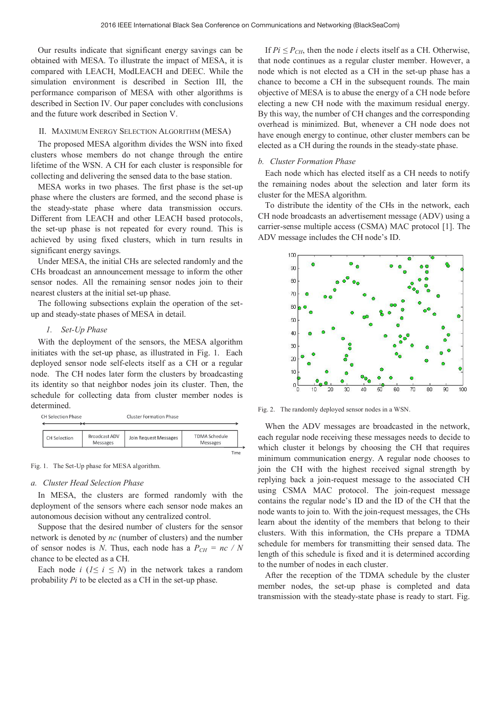Our results indicate that significant energy savings can be obtained with MESA. To illustrate the impact of MESA, it is compared with LEACH, ModLEACH and DEEC. While the simulation environment is described in Section III, the performance comparison of MESA with other algorithms is described in Section IV. Our paper concludes with conclusions and the future work described in Section V.

#### II. MAXIMUM ENERGY SELECTION ALGORITHM (MESA)

The proposed MESA algorithm divides the WSN into fixed clusters whose members do not change through the entire lifetime of the WSN. A CH for each cluster is responsible for collecting and delivering the sensed data to the base station.

MESA works in two phases. The first phase is the set-up phase where the clusters are formed, and the second phase is the steady-state phase where data transmission occurs. Different from LEACH and other LEACH based protocols, the set-up phase is not repeated for every round. This is achieved by using fixed clusters, which in turn results in significant energy savings.

Under MESA, the initial CHs are selected randomly and the CHs broadcast an announcement message to inform the other sensor nodes. All the remaining sensor nodes join to their nearest clusters at the initial set-up phase.

The following subsections explain the operation of the setup and steady-state phases of MESA in detail.

# *1. Set-Up Phase*

With the deployment of the sensors, the MESA algorithm initiates with the set-up phase, as illustrated in Fig. 1. Each deployed sensor node self-elects itself as a CH or a regular node. The CH nodes later form the clusters by broadcasting its identity so that neighbor nodes join its cluster. Then, the schedule for collecting data from cluster member nodes is determined.



Fig. 1. The Set-Up phase for MESA algorithm.

#### *a. Cluster Head Selection Phase*

In MESA, the clusters are formed randomly with the deployment of the sensors where each sensor node makes an autonomous decision without any centralized control.

Suppose that the desired number of clusters for the sensor network is denoted by *nc* (number of clusters) and the number of sensor nodes is *N*. Thus, each node has a  $P_{CH} = nc / N$ chance to be elected as a CH.

Each node *i* ( $1 \le i \le N$ ) in the network takes a random probability *Pi* to be elected as a CH in the set-up phase.

If  $Pi \leq P_{CH}$ , then the node *i* elects itself as a CH. Otherwise, that node continues as a regular cluster member. However, a node which is not elected as a CH in the set-up phase has a chance to become a CH in the subsequent rounds. The main objective of MESA is to abuse the energy of a CH node before electing a new CH node with the maximum residual energy. By this way, the number of CH changes and the corresponding overhead is minimized. But, whenever a CH node does not have enough energy to continue, other cluster members can be elected as a CH during the rounds in the steady-state phase.

### *b. Cluster Formation Phase*

Each node which has elected itself as a CH needs to notify the remaining nodes about the selection and later form its cluster for the MESA algorithm.

To distribute the identity of the CHs in the network, each CH node broadcasts an advertisement message (ADV) using a carrier-sense multiple access (CSMA) MAC protocol [1]. The ADV message includes the CH node's ID.



Fig. 2. The randomly deployed sensor nodes in a WSN.

When the ADV messages are broadcasted in the network, each regular node receiving these messages needs to decide to which cluster it belongs by choosing the CH that requires minimum communication energy. A regular node chooses to join the CH with the highest received signal strength by replying back a join-request message to the associated CH using CSMA MAC protocol. The join-request message contains the regular node's ID and the ID of the CH that the node wants to join to. With the join-request messages, the CHs learn about the identity of the members that belong to their clusters. With this information, the CHs prepare a TDMA schedule for members for transmitting their sensed data. The length of this schedule is fixed and it is determined according to the number of nodes in each cluster.

After the reception of the TDMA schedule by the cluster member nodes, the set-up phase is completed and data transmission with the steady-state phase is ready to start. Fig.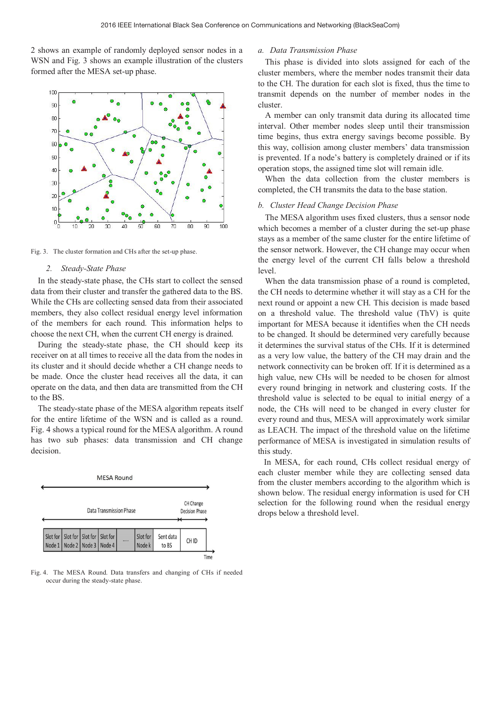2 shows an example of randomly deployed sensor nodes in a WSN and Fig. 3 shows an example illustration of the clusters formed after the MESA set-up phase.



Fig. 3. The cluster formation and CHs after the set-up phase.

#### *2. Steady-State Phase*

In the steady-state phase, the CHs start to collect the sensed data from their cluster and transfer the gathered data to the BS. While the CHs are collecting sensed data from their associated members, they also collect residual energy level information of the members for each round. This information helps to choose the next CH, when the current CH energy is drained.

During the steady-state phase, the CH should keep its receiver on at all times to receive all the data from the nodes in its cluster and it should decide whether a CH change needs to be made. Once the cluster head receives all the data, it can operate on the data, and then data are transmitted from the CH to the BS.

The steady-state phase of the MESA algorithm repeats itself for the entire lifetime of the WSN and is called as a round. Fig. 4 shows a typical round for the MESA algorithm. A round has two sub phases: data transmission and CH change decision.



Fig. 4. The MESA Round. Data transfers and changing of CHs if needed occur during the steady-state phase.

# *a. Data Transmission Phase*

This phase is divided into slots assigned for each of the cluster members, where the member nodes transmit their data to the CH. The duration for each slot is fixed, thus the time to transmit depends on the number of member nodes in the cluster.

A member can only transmit data during its allocated time interval. Other member nodes sleep until their transmission time begins, thus extra energy savings become possible. By this way, collision among cluster members' data transmission is prevented. If a node's battery is completely drained or if its operation stops, the assigned time slot will remain idle.

When the data collection from the cluster members is completed, the CH transmits the data to the base station.

# *b. Cluster Head Change Decision Phase*

The MESA algorithm uses fixed clusters, thus a sensor node which becomes a member of a cluster during the set-up phase stays as a member of the same cluster for the entire lifetime of the sensor network. However, the CH change may occur when the energy level of the current CH falls below a threshold level.

When the data transmission phase of a round is completed, the CH needs to determine whether it will stay as a CH for the next round or appoint a new CH. This decision is made based on a threshold value. The threshold value (ThV) is quite important for MESA because it identifies when the CH needs to be changed. It should be determined very carefully because it determines the survival status of the CHs. If it is determined as a very low value, the battery of the CH may drain and the network connectivity can be broken off. If it is determined as a high value, new CHs will be needed to be chosen for almost every round bringing in network and clustering costs. If the threshold value is selected to be equal to initial energy of a node, the CHs will need to be changed in every cluster for every round and thus, MESA will approximately work similar as LEACH. The impact of the threshold value on the lifetime performance of MESA is investigated in simulation results of this study.

In MESA, for each round, CHs collect residual energy of each cluster member while they are collecting sensed data from the cluster members according to the algorithm which is shown below. The residual energy information is used for CH selection for the following round when the residual energy drops below a threshold level.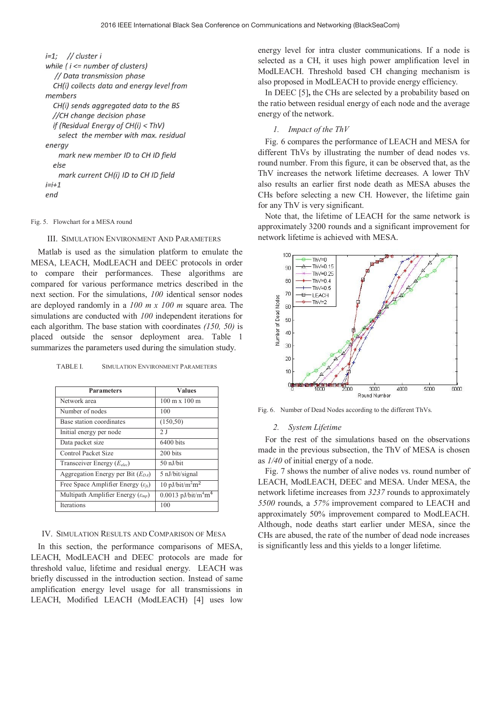| $i=1$ ; // cluster i                      |  |  |
|-------------------------------------------|--|--|
| while ( $i \leq$ number of clusters)      |  |  |
| // Data transmission phase                |  |  |
| CH(i) collects data and energy level from |  |  |
| members                                   |  |  |
| CH(i) sends aggregated data to the BS     |  |  |
| //CH change decision phase                |  |  |
| if (Residual Energy of CH(i) < ThV)       |  |  |
| select the member with max, residual      |  |  |
| energy                                    |  |  |
| mark new member ID to CH ID field         |  |  |
| else                                      |  |  |
| mark current CH(i) ID to CH ID field      |  |  |
| i=i+1                                     |  |  |

Fig. 5. Flowchart for a MESA round

end

#### III. SIMULATION ENVIRONMENT AND PARAMETERS

Matlab is used as the simulation platform to emulate the MESA, LEACH, ModLEACH and DEEC protocols in order to compare their performances. These algorithms are compared for various performance metrics described in the next section. For the simulations, *100* identical sensor nodes are deployed randomly in a *100 m x 100 m* square area. The simulations are conducted with *100* independent iterations for each algorithm. The base station with coordinates *(150, 50)* is placed outside the sensor deployment area. Table 1 summarizes the parameters used during the simulation study.

| TABLE L | <b>SIMULATION ENVIRONMENT PARAMETERS</b> |  |
|---------|------------------------------------------|--|
|---------|------------------------------------------|--|

| <b>Parameters</b>                                | Values                                        |
|--------------------------------------------------|-----------------------------------------------|
| Network area                                     | $100 \text{ m} \times 100 \text{ m}$          |
| Number of nodes                                  | 100                                           |
| Base station coordinates                         | (150, 50)                                     |
| Initial energy per node                          | 2 J                                           |
| Data packet size                                 | 6400 bits                                     |
| Control Packet Size                              | 200 bits                                      |
| Transceiver Energy $(E_{elec})$                  | $50$ nJ/bit                                   |
| Aggregation Energy per Bit $(E_{DA})$            | 5 nJ/bit/signal                               |
| Free Space Amplifier Energy $(\varepsilon_{fs})$ | 10 pJ/bit/ $m^2m^2$                           |
| Multipath Amplifier Energy $(\varepsilon_{mp})$  | $0.0013$ pJ/bit/m <sup>4</sup> m <sup>4</sup> |
| <b>Iterations</b>                                | 100                                           |

# IV. SIMULATION RESULTS AND COMPARISON OF MESA

In this section, the performance comparisons of MESA, LEACH, ModLEACH and DEEC protocols are made for threshold value, lifetime and residual energy. LEACH was briefly discussed in the introduction section. Instead of same amplification energy level usage for all transmissions in LEACH, Modified LEACH (ModLEACH) [4] uses low energy level for intra cluster communications. If a node is selected as a CH, it uses high power amplification level in ModLEACH. Threshold based CH changing mechanism is also proposed in ModLEACH to provide energy efficiency.

In DEEC [5], the CHs are selected by a probability based on the ratio between residual energy of each node and the average energy of the network.

# *1. Impact of the ThV*

Fig. 6 compares the performance of LEACH and MESA for different ThVs by illustrating the number of dead nodes vs. round number. From this figure, it can be observed that, as the ThV increases the network lifetime decreases. A lower ThV also results an earlier first node death as MESA abuses the CHs before selecting a new CH. However, the lifetime gain for any ThV is very significant.

Note that, the lifetime of LEACH for the same network is approximately 3200 rounds and a significant improvement for network lifetime is achieved with MESA.



Fig. 6. Number of Dead Nodes according to the different ThVs.

### *2. System Lifetime*

For the rest of the simulations based on the observations made in the previous subsection, the ThV of MESA is chosen as *1/40* of initial energy of a node.

Fig. 7 shows the number of alive nodes vs. round number of LEACH, ModLEACH, DEEC and MESA. Under MESA, the network lifetime increases from *3237* rounds to approximately *5500* rounds, a *57%* improvement compared to LEACH and approximately 50% improvement compared to ModLEACH. Although, node deaths start earlier under MESA, since the CHs are abused, the rate of the number of dead node increases is significantly less and this yields to a longer lifetime.